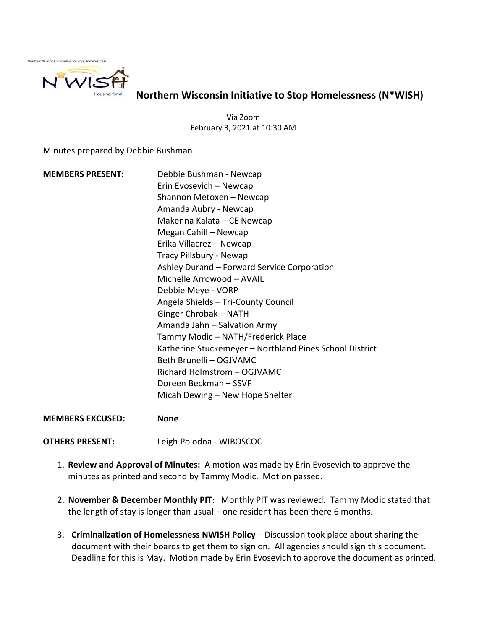

Northern Wisconsin Initiative to Stop Homelessness (N\*WISH)

Via Zoom February 3, 2021 at 10:30 AM

Minutes prepared by Debbie Bushman

MEMBERS PRESENT: Debbie Bushman - Newcap Erin Evosevich – Newcap Shannon Metoxen – Newcap Amanda Aubry - Newcap Makenna Kalata – CE Newcap Megan Cahill – Newcap Erika Villacrez – Newcap Tracy Pillsbury - Newap Ashley Durand – Forward Service Corporation Michelle Arrowood – AVAIL Debbie Meye - VORP Angela Shields – Tri-County Council Ginger Chrobak – NATH Amanda Jahn – Salvation Army Tammy Modic – NATH/Frederick Place Katherine Stuckemeyer – Northland Pines School District Beth Brunelli – OGJVAMC Richard Holmstrom – OGJVAMC Doreen Beckman – SSVF Micah Dewing – New Hope Shelter

MEMBERS EXCUSED: None

OTHERS PRESENT: Leigh Polodna - WIBOSCOC

- 1. Review and Approval of Minutes: A motion was made by Erin Evosevich to approve the minutes as printed and second by Tammy Modic. Motion passed.
- 2. November & December Monthly PIT: Monthly PIT was reviewed. Tammy Modic stated that the length of stay is longer than usual – one resident has been there 6 months.
- 3. Criminalization of Homelessness NWISH Policy Discussion took place about sharing the document with their boards to get them to sign on. All agencies should sign this document. Deadline for this is May. Motion made by Erin Evosevich to approve the document as printed.